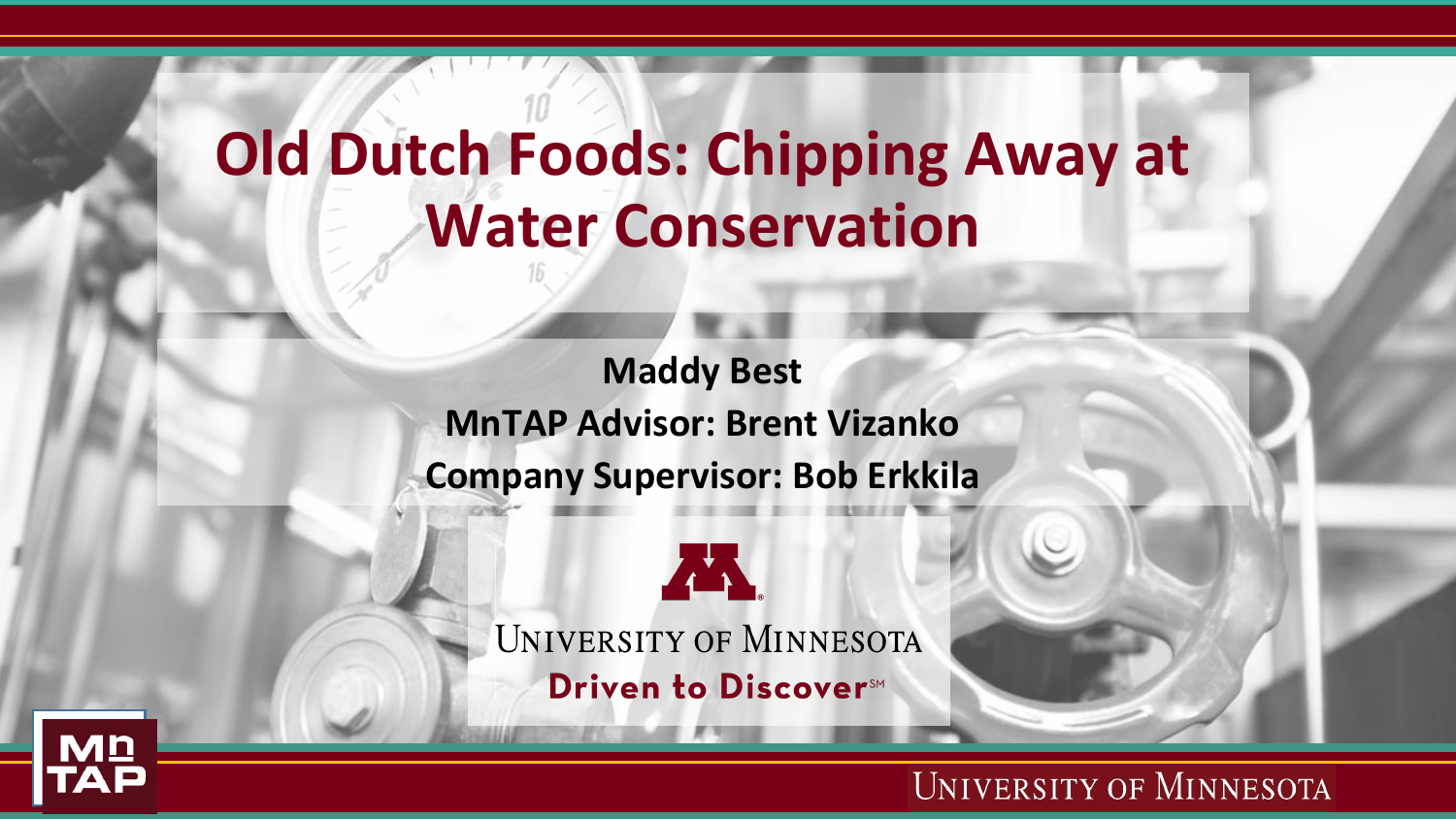# **Old Dutch Foods: Chipping Away at Water Conservation**

**Maddy Best MnTAP Advisor: Brent Vizanko Company Supervisor: Bob Erkkila**



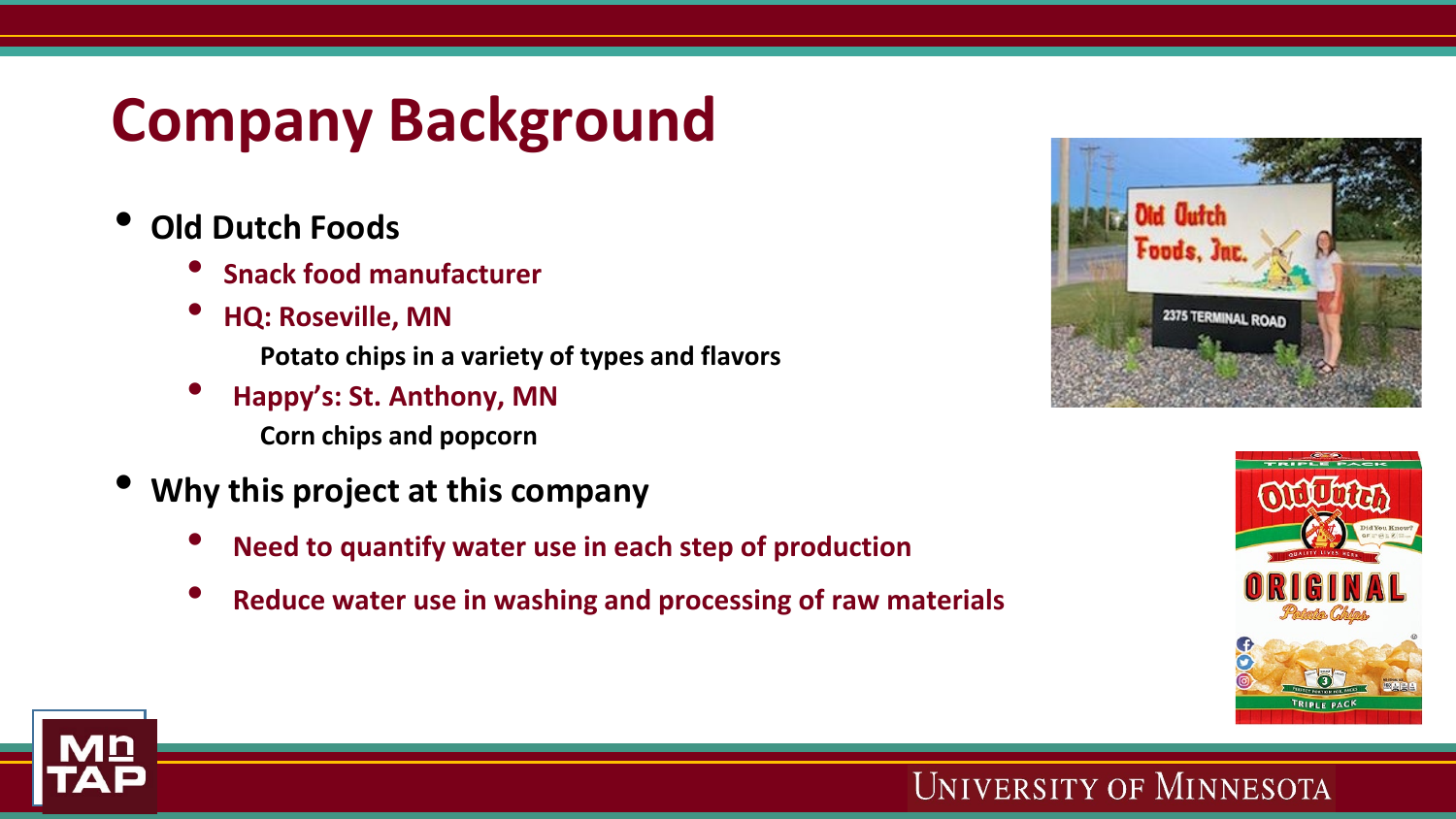# **Company Background**

- **Old Dutch Foods**
	- **Snack food manufacturer**
	- **HQ: Roseville, MN**
		- **Potato chips in a variety of types and flavors**
	- **Happy's: St. Anthony, MN Corn chips and popcorn**
- **Why this project at this company**
	- **Need to quantify water use in each step of production**
	- **Reduce water use in washing and processing of raw materials**







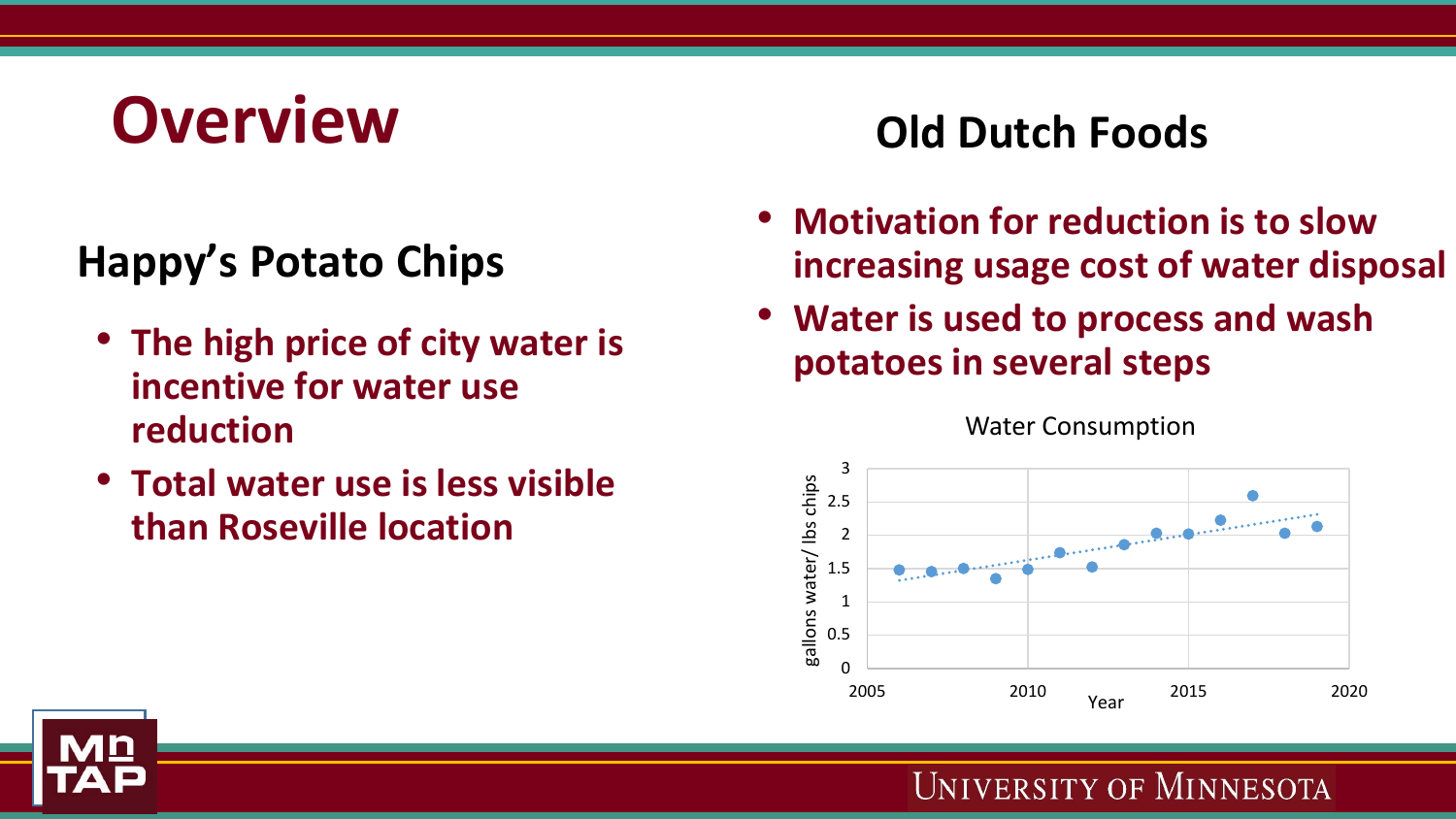# **Overview Old Dutch Foods**

### **Happy's Potato Chips**

- **The high price of city water is incentive for water use reduction**
- **Total water use is less visible than Roseville location**

- **Motivation for reduction is to slow increasing usage cost of water disposal**
- **Water is used to process and wash potatoes in several steps**



#### Water Consumption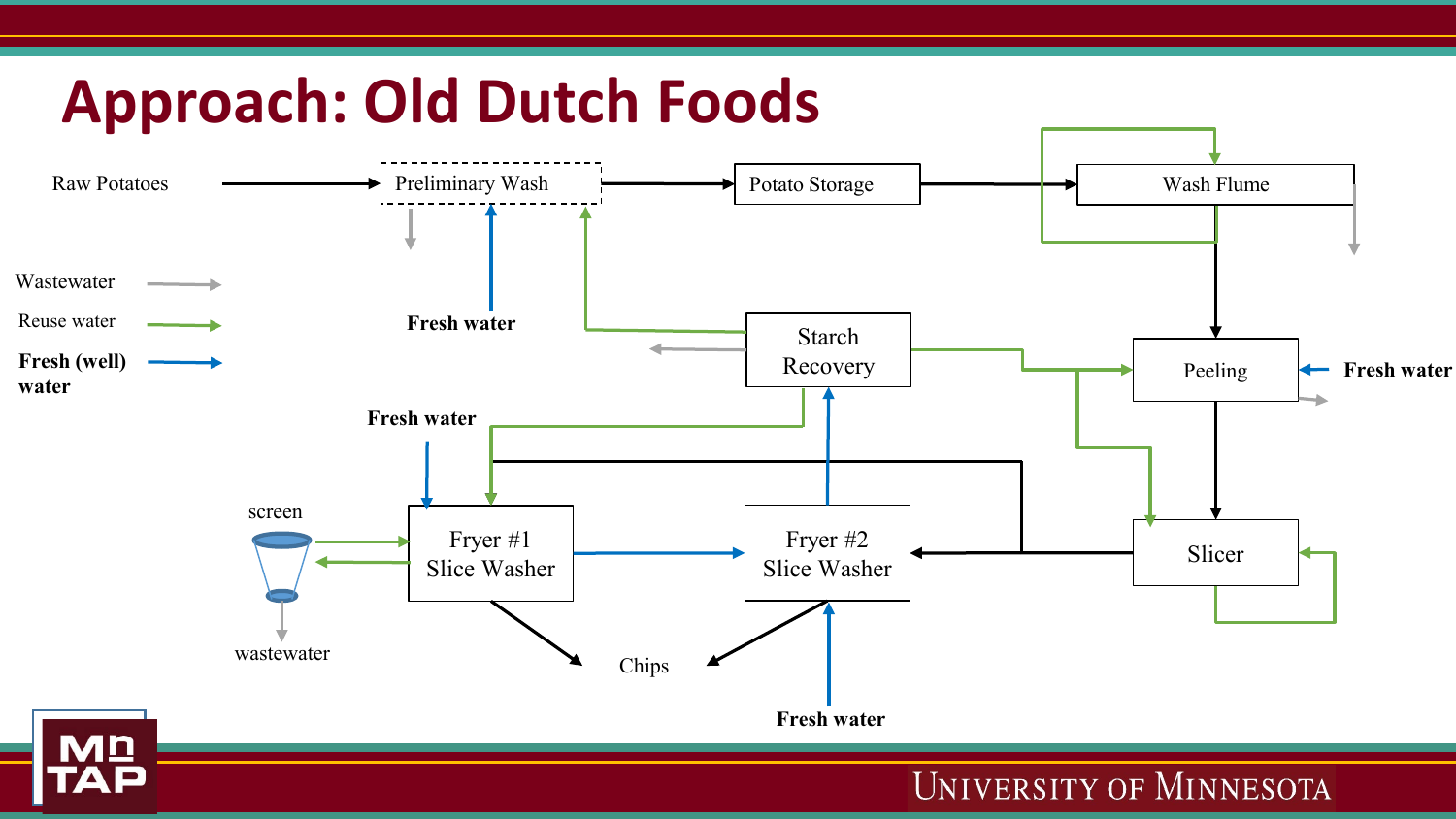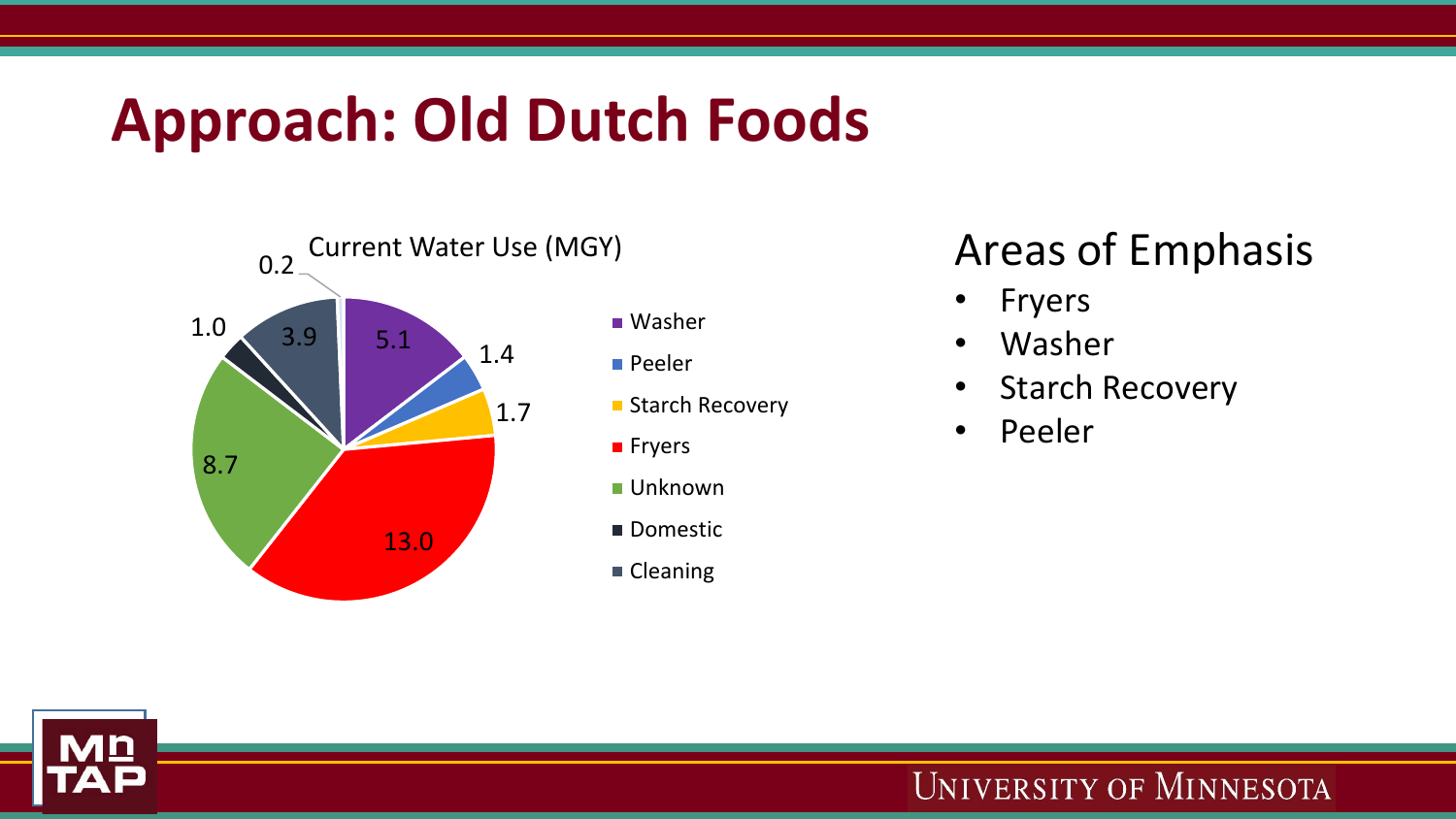## **Approach: Old Dutch Foods**



### Areas of Emphasis

- **Fryers**
- Washer
- Starch Recovery
- Peeler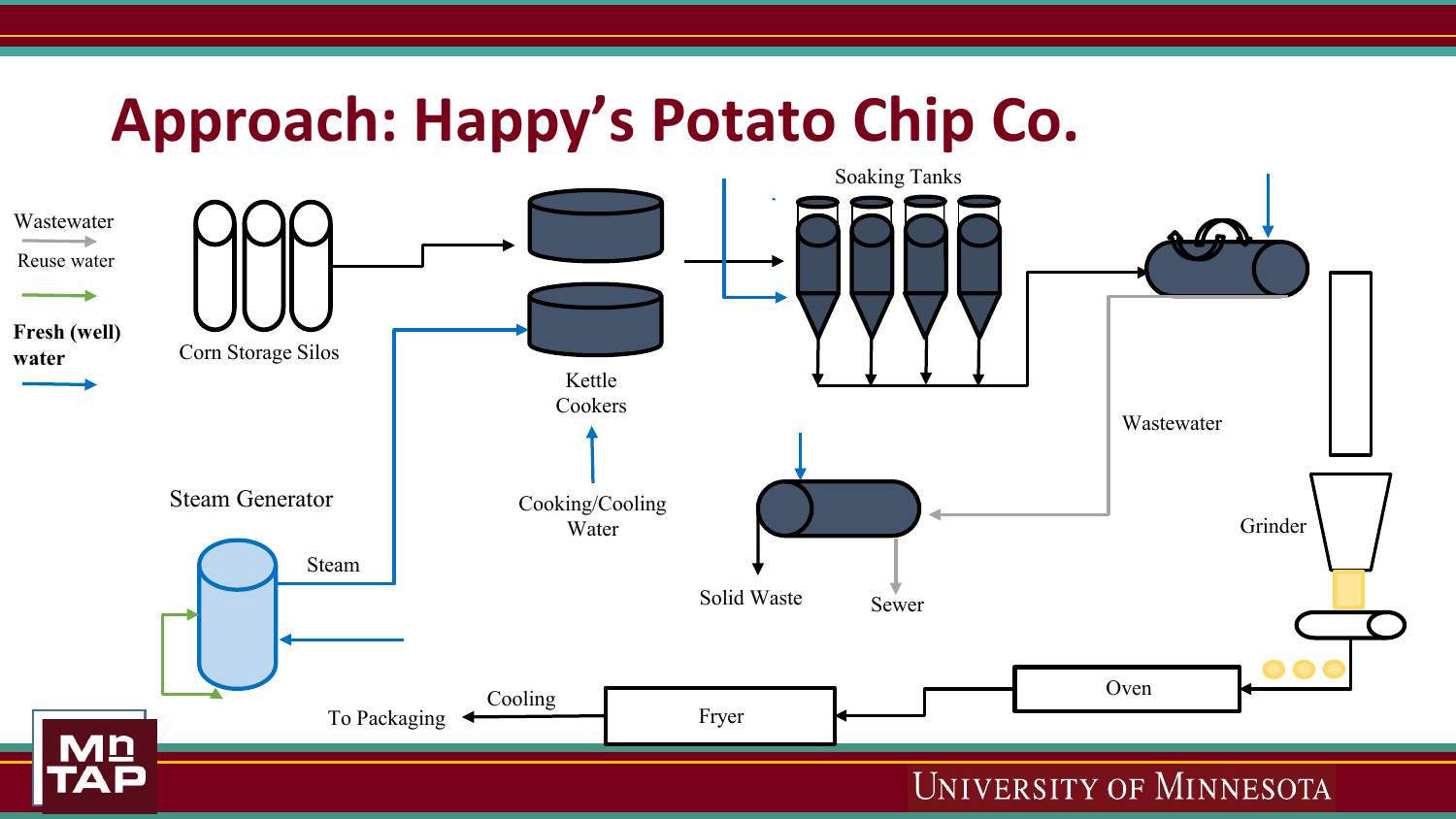## **Approach: Happy's Potato Chip Co.**

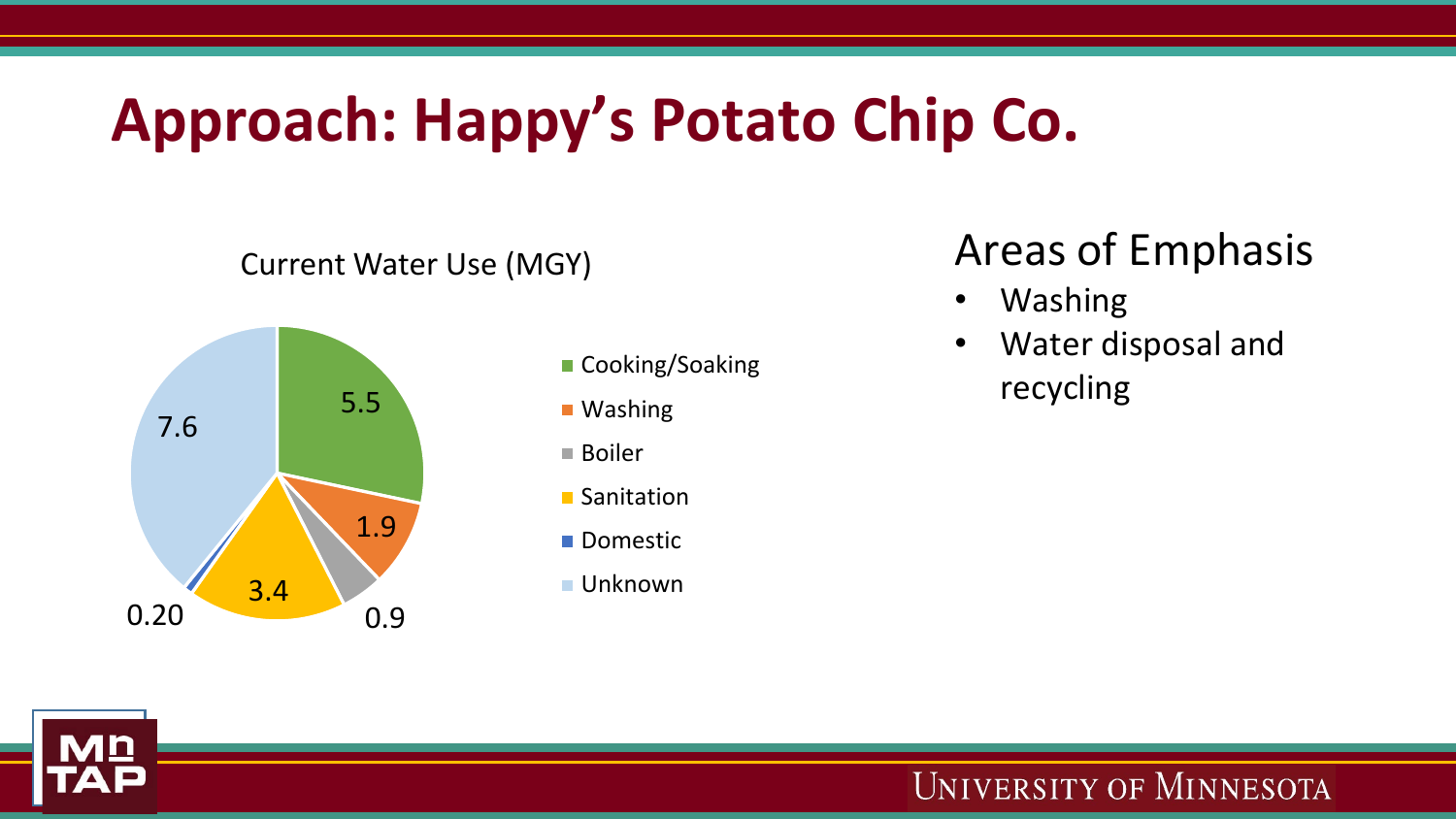# **Approach: Happy's Potato Chip Co.**

#### Current Water Use (MGY)



- Cooking/Soaking
- Washing
- Boiler
- Sanitation
- **Domestic**
- Unknown

### Areas of Emphasis

- Washing
- Water disposal and **recycling recycling**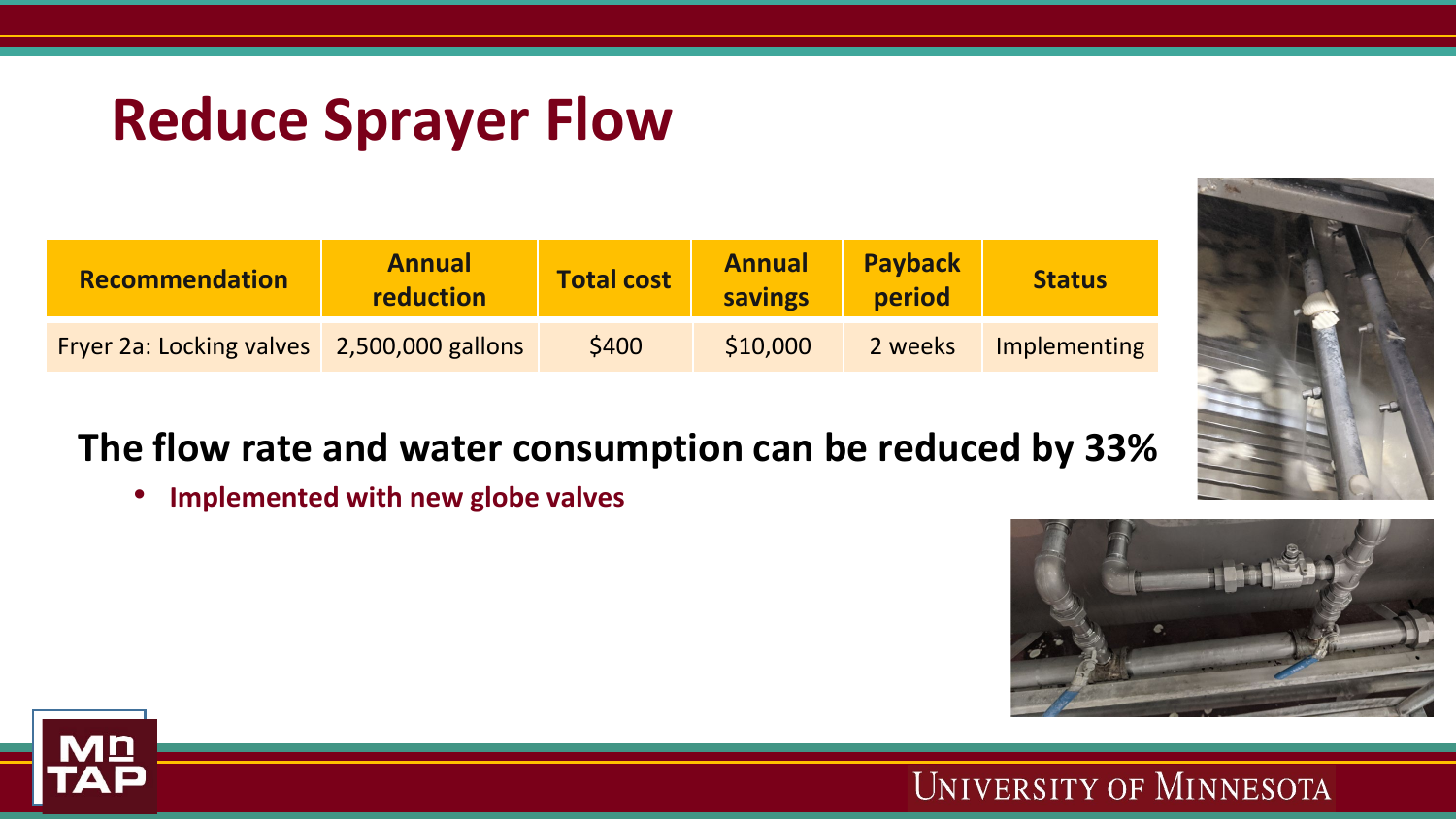### **Reduce Sprayer Flow**

| <b>Recommendation</b>                      | <b>Annual</b><br>reduction | <b>Total cost</b> | <b>Annual</b><br>savings | <b>Payback</b><br>period | <b>Status</b> |
|--------------------------------------------|----------------------------|-------------------|--------------------------|--------------------------|---------------|
| Fryer 2a: Locking valves 2,500,000 gallons |                            | \$400             | \$10,000                 | 2 weeks                  | Implementing  |

### **The flow rate and water consumption can be reduced by 33%**

• **Implemented with new globe valves**



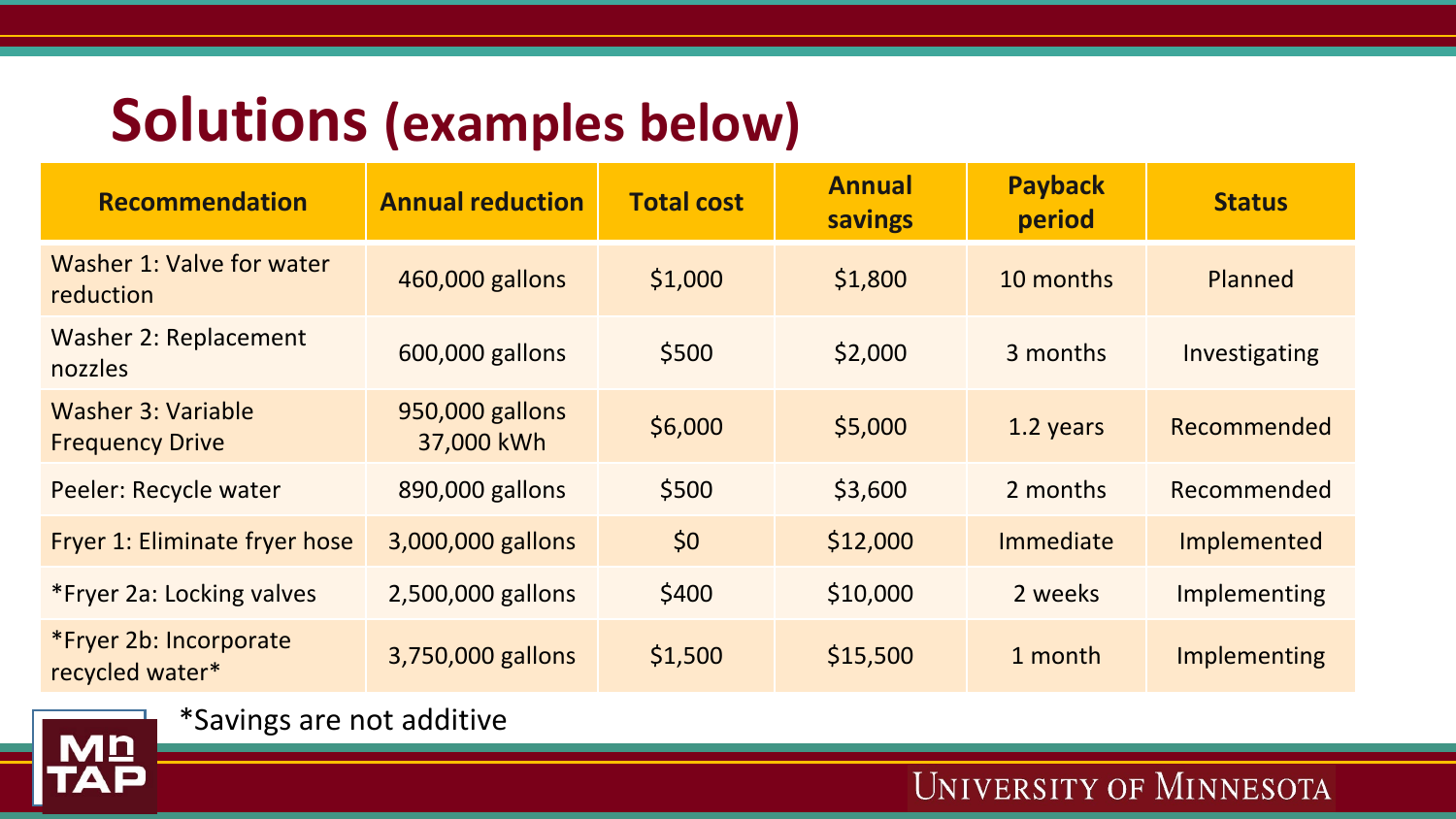### **Solutions (examples below)**

| <b>Recommendation</b>                               | <b>Annual reduction</b>       | <b>Total cost</b> | <b>Annual</b><br>savings | <b>Payback</b><br>period | <b>Status</b>  |
|-----------------------------------------------------|-------------------------------|-------------------|--------------------------|--------------------------|----------------|
| Washer 1: Valve for water<br>reduction              | 460,000 gallons               | \$1,000           | \$1,800                  | 10 months                | <b>Planned</b> |
| <b>Washer 2: Replacement</b><br>nozzles             | 600,000 gallons               | \$500             | \$2,000                  | 3 months                 | Investigating  |
| <b>Washer 3: Variable</b><br><b>Frequency Drive</b> | 950,000 gallons<br>37,000 kWh | \$6,000           | \$5,000                  | 1.2 years                | Recommended    |
| Peeler: Recycle water                               | 890,000 gallons               | \$500             | \$3,600                  | 2 months                 | Recommended    |
| Fryer 1: Eliminate fryer hose                       | 3,000,000 gallons             | \$0               | \$12,000                 | Immediate                | Implemented    |
| *Fryer 2a: Locking valves                           | 2,500,000 gallons             | \$400             | \$10,000                 | 2 weeks                  | Implementing   |
| *Fryer 2b: Incorporate<br>recycled water*           | 3,750,000 gallons             | \$1,500           | \$15,500                 | 1 month                  | Implementing   |



\*Savings are not additive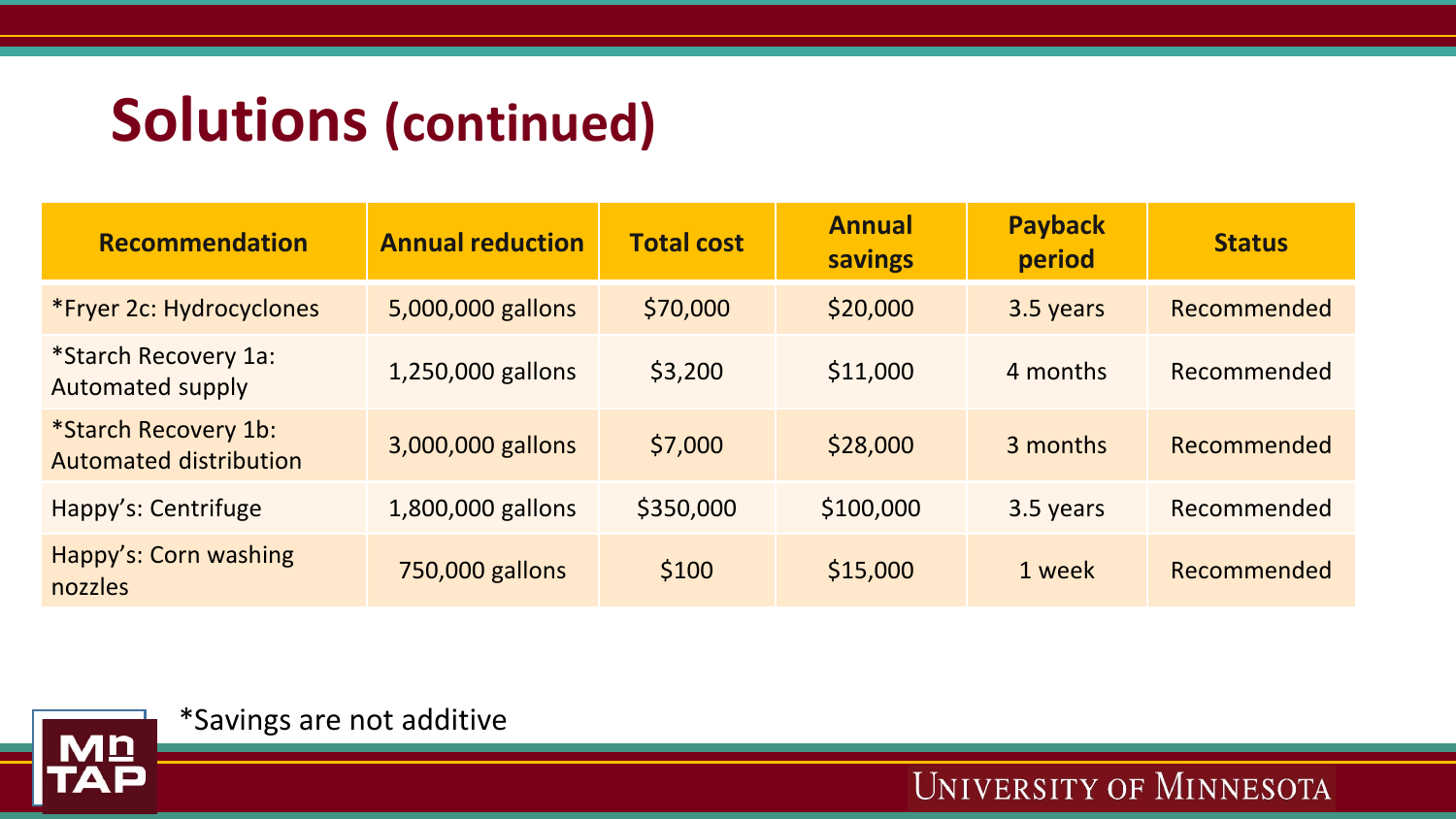### **Solutions (continued)**

| <b>Recommendation</b>                                 | <b>Annual reduction</b> | <b>Total cost</b> | <b>Annual</b><br><b>savings</b> | <b>Payback</b><br>period | <b>Status</b> |
|-------------------------------------------------------|-------------------------|-------------------|---------------------------------|--------------------------|---------------|
| *Fryer 2c: Hydrocyclones                              | 5,000,000 gallons       | \$70,000          | \$20,000                        | 3.5 years                | Recommended   |
| *Starch Recovery 1a:<br><b>Automated supply</b>       | 1,250,000 gallons       | \$3,200           | \$11,000                        | 4 months                 | Recommended   |
| *Starch Recovery 1b:<br><b>Automated distribution</b> | 3,000,000 gallons       | \$7,000           | \$28,000                        | 3 months                 | Recommended   |
| Happy's: Centrifuge                                   | 1,800,000 gallons       | \$350,000         | \$100,000                       | 3.5 years                | Recommended   |
| Happy's: Corn washing<br>nozzles                      | 750,000 gallons         | \$100             | \$15,000                        | 1 week                   | Recommended   |



\*Savings are not additive